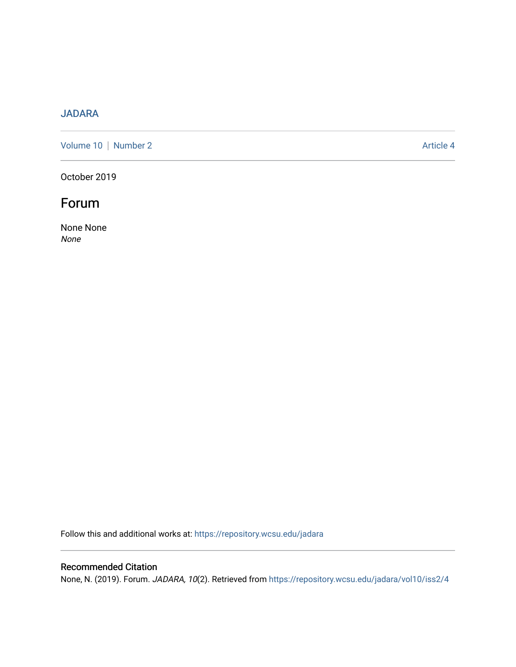### [JADARA](https://repository.wcsu.edu/jadara)

[Volume 10](https://repository.wcsu.edu/jadara/vol10) | [Number 2](https://repository.wcsu.edu/jadara/vol10/iss2) Article 4

October 2019

# Forum

None None None

Follow this and additional works at: [https://repository.wcsu.edu/jadara](https://repository.wcsu.edu/jadara?utm_source=repository.wcsu.edu%2Fjadara%2Fvol10%2Fiss2%2F4&utm_medium=PDF&utm_campaign=PDFCoverPages)

#### Recommended Citation

None, N. (2019). Forum. JADARA, 10(2). Retrieved from [https://repository.wcsu.edu/jadara/vol10/iss2/4](https://repository.wcsu.edu/jadara/vol10/iss2/4?utm_source=repository.wcsu.edu%2Fjadara%2Fvol10%2Fiss2%2F4&utm_medium=PDF&utm_campaign=PDFCoverPages)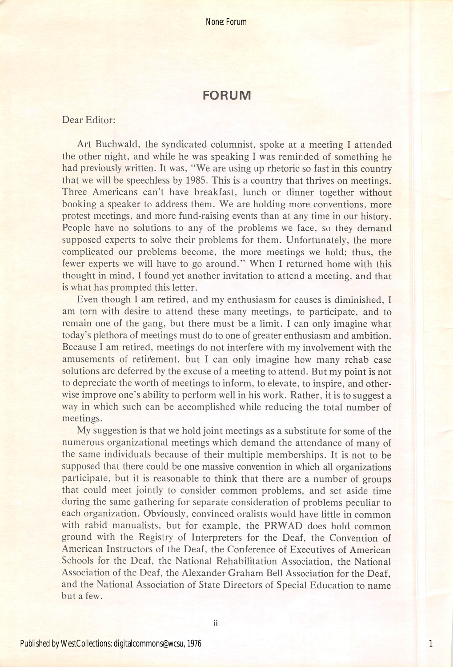None: Forum

#### FORUM

#### Dear Editor:

Art Buchwald, the syndicated columnist, spoke at a meeting I attended the other night, and while he was speaking I was reminded of something he had previously written. It was, "We are using up rhetoric so fast in this country that we will be speechless by 1985. This is a country that thrives on meetings. Three Americans can't have breakfast, lunch or dinner together without booking a speaker to address them. We are holding more conventions, more protest meetings, and more fund-raising events than at any time in our history. People have no solutions to any of the problems we face, so they demand supposed experts to solve their problems for them. Unfortunately, the more complicated our problems become, the more meetings we hold; thus, the fewer experts we will have to go around." When I returned home with this thought in mind, I found yet another invitation to attend a meeting, and that is what has prompted this letter.

Even though I am retired, and my enthusiasm for causes is diminished, I am torn with desire to attend these many meetings, to participate, and to remain one of the gang, but there must be a limit. I can only imagine what today's plethora of meetings must do to one of greater enthusiasm and ambition. Because I am retired, meetings do not interfere with my involvement with the amusements of retirement, but I can only imagine how many rehab case solutions are deferred by the excuse of a meeting to attend. But my point is not to depreciate the worth of meetings to inform, to elevate, to inspire, and other wise improve one's ability to perform well in his work. Rather, it is to suggest a way in which such can be accomplished while reducing the total number of meetings.

My suggestion is that we hold joint meetings as a substitute for some of the numerous organizational meetings which demand the attendance of many of the same individuals because of their multiple memberships. It is not to be supposed that there could be one massive convention in which all organizations participate, but it is reasonable to think that there are a number of groups that could meet jointly to consider common problems, and set aside time during the same gathering for separate consideration of problems peculiar to each organization. Obviously, convinced oralists would have little in common with rabid manualists, but for example, the PRWAD does hold common ground with the Registry of Interpreters for the Deaf, the Convention of American Instructors of the Deaf, the Conference of Executives of American Schools for the Deaf, the National Rehabilitation Association, the National Association of the Deaf, the Alexander Graham Bell Association for the Deaf, and the National Association of State Directors of Special Education to name but a few.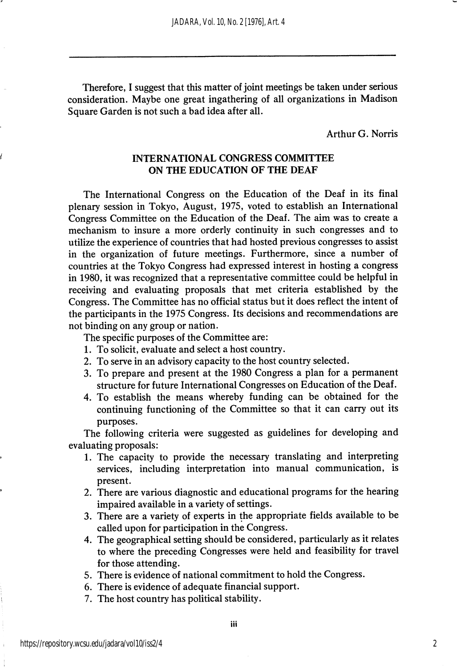Therefore, I suggest that this matter of joint meetings be taken under serious consideration. Maybe one great ingathering of all organizations in Madison Square Garden is not such a bad idea after all.

Arthur G. Norris

#### INTERNATIONAL CONGRESS COMMITTEE ON THE EDUCATION OF THE DEAF

The International Congress on the Education of the Deaf in its final plenary session in Tokyo, August, 1975, voted to establish an International Congress Committee on the Education of the Deaf. The aim was to create a mechanism to insure a more orderly continuity in such congresses and to utilize the experience of countries that had hosted previous congresses to assist in the organization of future meetings. Furthermore, since a number of countries at the Tokyo Congress had expressed interest in hosting a congress in 1980, it was recognized that a representative committee could be helpful in receiving and evaluating proposals that met criteria established by the Congress. The Committee has no official status but it does reflect the intent of the participants in the 1975 Congress. Its decisions and recommendations are not binding on any group or nation.

The specific purposes of the Committee are:

- 1. To solicit, evaluate and select a host country.
- 2. To serve in an advisory capacity to the host country selected.
- 3. To prepare and present at the 1980 Congress a plan for a permanent structure for future International Congresses on Education of the Deaf.
- 4. To establish the means whereby funding can be obtained for the continuing functioning of the Committee so that it can carry out its purposes.

The following criteria were suggested as guidelines for developing and evaluating proposals:

- 1. The capacity to provide the necessary translating and interpreting services, including interpretation into manual communication, is present.
- 2. There are various diagnostic and educational programs for the hearing impaired available in a variety of settings.
- 3. There are a variety of experts in the appropriate fields available to be called upon for participation in the Congress.
- 4. The geographical setting should be considered, particularly as it relates to where the preceding Congresses were held and feasibility for travel for those attending.
- 5. There is evidence of national commitment to hold the Congress.
- 6. There is evidence of adequate financial support.
- 7. The host country has political stability.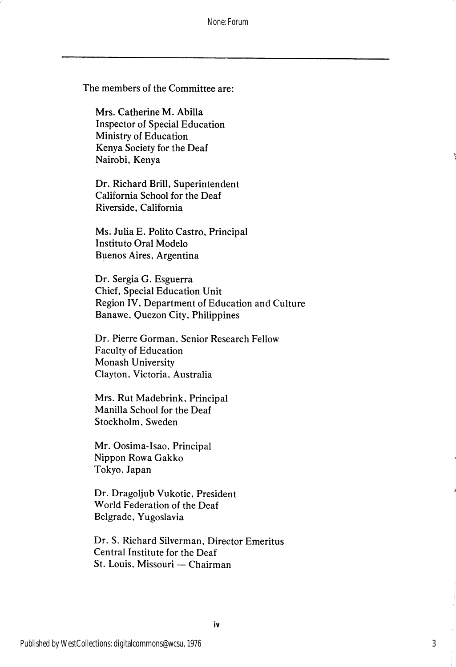The members of the Committee are:

Mrs. Catherine M. Abilla Inspector of Special Education Ministry of Education Kenya Society for the Deaf Nairobi, Kenya

Dr. Richard Brill, Superintendent California School for the Deaf Riverside, California

Ms. Julia E. Polito Castro, Principal Institute Oral Modelo Buenos Aires, Argentina

Dr. Sergia G. Esguerra Chief, Special Education Unit Region IV, Department of Education and Culture Banawe, Quezon City. Philippines

Dr. Pierre Gorman, Senior Research Fellow Faculty of Education Monash University Clayton, Victoria, Australia

Mrs. Rut Madebrink, Principal Manilla School for the Deaf Stockholm. Sweden

Mr. Oosima-Isao, Principal Nippon Rowa Gakko Tokyo, Japan

Dr. Dragoljub Vukotic, President World Federation of the Deaf Belgrade. Yugoslavia

Dr. S. Richard Silverman, Director Emeritus Central Institute for the Deaf St. Louis. Missouri — Chairman

3